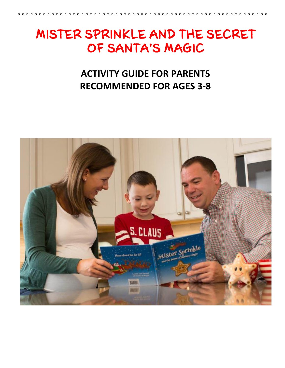# MISTER SPRINKLE AND THE SECRET OF SANTA'S MAGIC

## **ACTIVITY GUIDE FOR PARENTS RECOMMENDED FOR AGES 3-8**

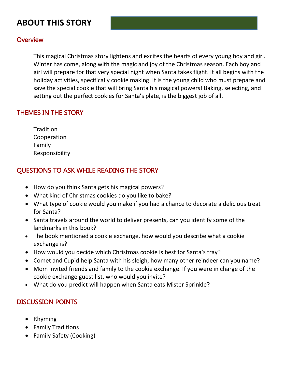## **ABOUT THIS STORY**

### **Overview**

This magical Christmas story lightens and excites the hearts of every young boy and girl. Winter has come, along with the magic and joy of the Christmas season. Each boy and girl will prepare for that very special night when Santa takes flight. It all begins with the holiday activities, specifically cookie making. It is the young child who must prepare and save the special cookie that will bring Santa his magical powers! Baking, selecting, and setting out the perfect cookies for Santa's plate, is the biggest job of all.

### THEMES IN THE STORY

| Tradition      |
|----------------|
| Cooperation    |
| Family         |
| Responsibility |

### QUESTIONS TO ASK WHILE READING THE STORY

- How do you think Santa gets his magical powers?
- What kind of Christmas cookies do you like to bake?
- What type of cookie would you make if you had a chance to decorate a delicious treat for Santa?
- Santa travels around the world to deliver presents, can you identify some of the landmarks in this book?
- The book mentioned a cookie exchange, how would you describe what a cookie exchange is?
- How would you decide which Christmas cookie is best for Santa's tray?
- Comet and Cupid help Santa with his sleigh, how many other reindeer can you name?
- Mom invited friends and family to the cookie exchange. If you were in charge of the cookie exchange guest list, who would you invite?
- What do you predict will happen when Santa eats Mister Sprinkle?

### DISCUSSION POINTS

- Rhyming
- Family Traditions
- Family Safety (Cooking)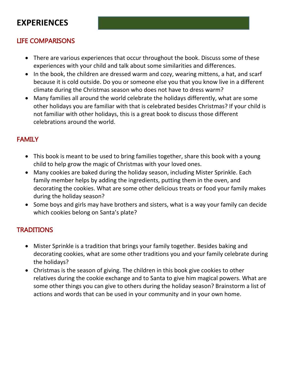## **EXPERIENCES**

## LIFE COMPARISONS

- There are various experiences that occur throughout the book. Discuss some of these experiences with your child and talk about some similarities and differences.
- In the book, the children are dressed warm and cozy, wearing mittens, a hat, and scarf because it is cold outside. Do you or someone else you that you know live in a different climate during the Christmas season who does not have to dress warm?
- Many families all around the world celebrate the holidays differently, what are some other holidays you are familiar with that is celebrated besides Christmas? If your child is not familiar with other holidays, this is a great book to discuss those different celebrations around the world.

## **FAMILY**

- This book is meant to be used to bring families together, share this book with a young child to help grow the magic of Christmas with your loved ones.
- Many cookies are baked during the holiday season, including Mister Sprinkle. Each family member helps by adding the ingredients, putting them in the oven, and decorating the cookies. What are some other delicious treats or food your family makes during the holiday season?
- Some boys and girls may have brothers and sisters, what is a way your family can decide which cookies belong on Santa's plate?

## **TRADITIONS**

- Mister Sprinkle is a tradition that brings your family together. Besides baking and decorating cookies, what are some other traditions you and your family celebrate during the holidays?
- Christmas is the season of giving. The children in this book give cookies to other relatives during the cookie exchange and to Santa to give him magical powers. What are some other things you can give to others during the holiday season? Brainstorm a list of actions and words that can be used in your community and in your own home.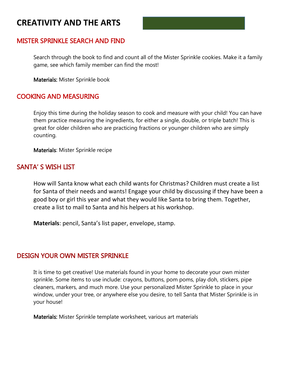## **CREATIVITY AND THE ARTS**

#### MISTER SPRINKLE SEARCH AND FIND

Search through the book to find and count all of the Mister Sprinkle cookies. Make it a family game, see which family member can find the most!

Materials: Mister Sprinkle book

#### COOKING AND MEASURING

Enjoy this time during the holiday season to cook and measure with your child! You can have them practice measuring the ingredients, for either a single, double, or triple batch! This is great for older children who are practicing fractions or younger children who are simply counting.

Materials: Mister Sprinkle recipe

#### SANTA' S WISH LIST

How will Santa know what each child wants for Christmas? Children must create a list for Santa of their needs and wants! Engage your child by discussing if they have been a good boy or girl this year and what they would like Santa to bring them. Together, create a list to mail to Santa and his helpers at his workshop.

**Materials**: pencil, Santa's list paper, envelope, stamp.

#### DESIGN YOUR OWN MISTER SPRINKLE

It is time to get creative! Use materials found in your home to decorate your own mister sprinkle. Some items to use include: crayons, buttons, pom poms, play doh, stickers, pipe cleaners, markers, and much more. Use your personalized Mister Sprinkle to place in your window, under your tree, or anywhere else you desire, to tell Santa that Mister Sprinkle is in your house!

Materials: Mister Sprinkle template worksheet, various art materials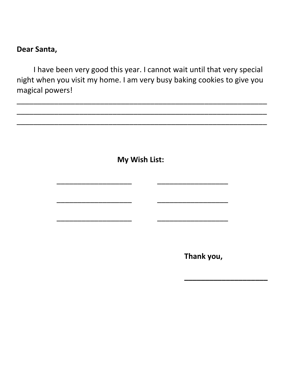## **Dear Santa,**

I have been very good this year. I cannot wait until that very special night when you visit my home. I am very busy baking cookies to give you magical powers!

\_\_\_\_\_\_\_\_\_\_\_\_\_\_\_\_\_\_\_\_\_\_\_\_\_\_\_\_\_\_\_\_\_\_\_\_\_\_\_\_\_\_\_\_\_\_\_\_\_\_\_\_\_\_\_\_\_\_\_\_

\_\_\_\_\_\_\_\_\_\_\_\_\_\_\_\_\_\_\_\_\_\_\_\_\_\_\_\_\_\_\_\_\_\_\_\_\_\_\_\_\_\_\_\_\_\_\_\_\_\_\_\_\_\_\_\_\_\_\_\_

\_\_\_\_\_\_\_\_\_\_\_\_\_\_\_\_\_\_\_\_\_\_\_\_\_\_\_\_\_\_\_\_\_\_\_\_\_\_\_\_\_\_\_\_\_\_\_\_\_\_\_\_\_\_\_\_\_\_\_\_

**My Wish List:** 

\_\_\_\_\_\_\_\_\_\_\_\_\_\_\_\_\_\_ \_\_\_\_\_\_\_\_\_\_\_\_\_\_\_\_\_

\_\_\_\_\_\_\_\_\_\_\_\_\_\_\_\_\_\_ \_\_\_\_\_\_\_\_\_\_\_\_\_\_\_\_\_

\_\_\_\_\_\_\_\_\_\_\_\_\_\_\_\_\_\_ \_\_\_\_\_\_\_\_\_\_\_\_\_\_\_\_\_

**Thank you,** 

**\_\_\_\_\_\_\_\_\_\_\_\_\_\_\_\_\_\_\_\_**